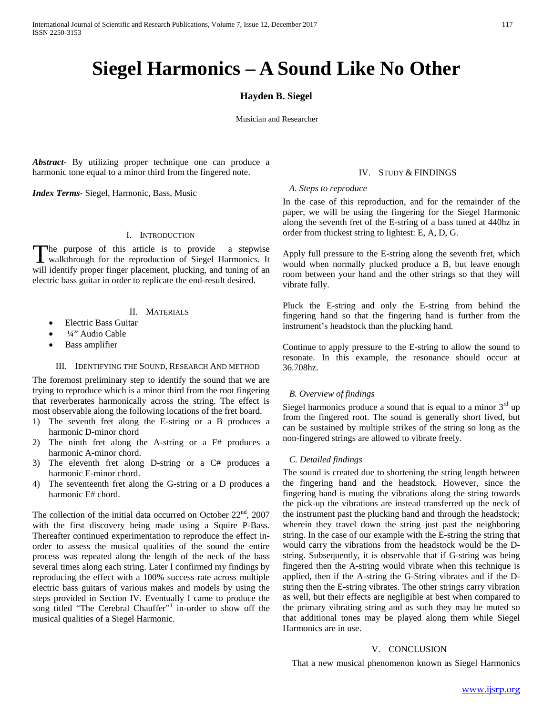# **Siegel Harmonics – A Sound Like No Other**

# **Hayden B. Siegel**

Musician and Researcher

*Abstract***-** By utilizing proper technique one can produce a harmonic tone equal to a minor third from the fingered note.

*Index Terms*- Siegel, Harmonic, Bass, Music

# I. INTRODUCTION

he purpose of this article is to provide a stepwise The purpose of this article is to provide a stepwise<br>walkthrough for the reproduction of Siegel Harmonics. It will identify proper finger placement, plucking, and tuning of an electric bass guitar in order to replicate the end-result desired.

# II. MATERIALS

- Electric Bass Guitar
- <sup>1</sup>/4" Audio Cable
- Bass amplifier

#### III. IDENTIFYING THE SOUND, RESEARCH AND METHOD

The foremost preliminary step to identify the sound that we are trying to reproduce which is a minor third from the root fingering that reverberates harmonically across the string. The effect is most observable along the following locations of the fret board.

- 1) The seventh fret along the E-string or a B produces a harmonic D-minor chord
- 2) The ninth fret along the A-string or a F# produces a harmonic A-minor chord.
- 3) The eleventh fret along D-string or a C# produces a harmonic E-minor chord.
- 4) The seventeenth fret along the G-string or a D produces a harmonic E# chord.

The collection of the initial data occurred on October  $22<sup>nd</sup>$ ,  $2007$ with the first discovery being made using a Squire P-Bass. Thereafter continued experimentation to reproduce the effect inorder to assess the musical qualities of the sound the entire process was repeated along the length of the neck of the bass several times along each string. Later I confirmed my findings by reproducing the effect with a 100% success rate across multiple electric bass guitars of various makes and models by using the steps provided in Section IV. Eventually I came to produce the song titled "The Cerebral Chauffer"<sup>1</sup> in-order to show off the musical qualities of a Siegel Harmonic.

# IV. STUDY & FINDINGS

### *A. Steps to reproduce*

In the case of this reproduction, and for the remainder of the paper, we will be using the fingering for the Siegel Harmonic along the seventh fret of the E-string of a bass tuned at 440hz in order from thickest string to lightest: E, A, D, G.

Apply full pressure to the E-string along the seventh fret, which would when normally plucked produce a B, but leave enough room between your hand and the other strings so that they will vibrate fully.

Pluck the E-string and only the E-string from behind the fingering hand so that the fingering hand is further from the instrument's headstock than the plucking hand.

Continue to apply pressure to the E-string to allow the sound to resonate. In this example, the resonance should occur at 36.708hz.

### *B. Overview of findings*

Siegel harmonics produce a sound that is equal to a minor  $3<sup>rd</sup>$  up from the fingered root. The sound is generally short lived, but can be sustained by multiple strikes of the string so long as the non-fingered strings are allowed to vibrate freely.

### *C. Detailed findings*

The sound is created due to shortening the string length between the fingering hand and the headstock. However, since the fingering hand is muting the vibrations along the string towards the pick-up the vibrations are instead transferred up the neck of the instrument past the plucking hand and through the headstock; wherein they travel down the string just past the neighboring string. In the case of our example with the E-string the string that would carry the vibrations from the headstock would be the Dstring. Subsequently, it is observable that if G-string was being fingered then the A-string would vibrate when this technique is applied, then if the A-string the G-String vibrates and if the Dstring then the E-string vibrates. The other strings carry vibration as well, but their effects are negligible at best when compared to the primary vibrating string and as such they may be muted so that additional tones may be played along them while Siegel Harmonics are in use.

#### V. CONCLUSION

That a new musical phenomenon known as Siegel Harmonics